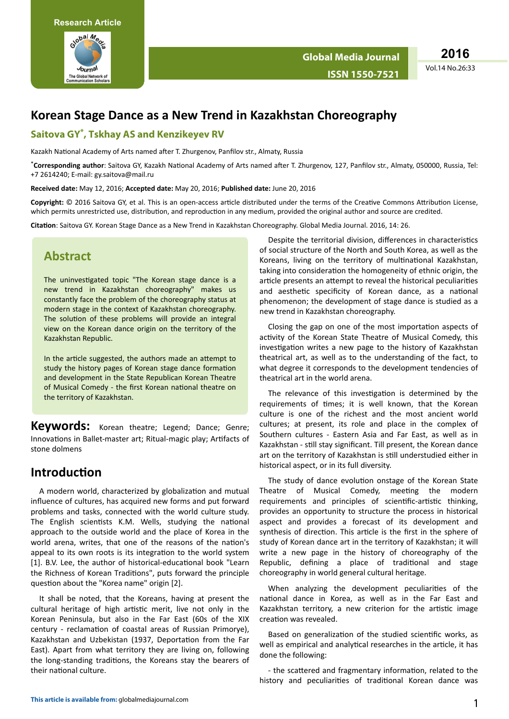

Vol.14 No.26:33 **2016**

# **Korean Stage Dance as a New Trend in Kazakhstan Choreography**

#### **Saitova GY\* , Tskhay AS and Kenzikeyev RV**

Kazakh National Academy of Arts named after T. Zhurgenov, Panfilov str., Almaty, Russia

\*Corresponding author: Saitova GY, Kazakh National Academy of Arts named after T. Zhurgenov, 127, Panfilov str., Almaty, 050000, Russia, Tel: +7 2614240; E-mail: gy.saitova@mail.ru

**Received date:** May 12, 2016; **Accepted date:** May 20, 2016; **Published date:** June 20, 2016

Copyright: © 2016 Saitova GY, et al. This is an open-access article distributed under the terms of the Creative Commons Attribution License, which permits unrestricted use, distribution, and reproduction in any medium, provided the original author and source are credited.

**Citation**: Saitova GY. Korean Stage Dance as a New Trend in Kazakhstan Choreography. Global Media Journal. 2016, 14: 26.

#### **Abstract**

The uninvestigated topic "The Korean stage dance is a new trend in Kazakhstan choreography" makes us constantly face the problem of the choreography status at modern stage in the context of Kazakhstan choreography. The solution of these problems will provide an integral view on the Korean dance origin on the territory of the Kazakhstan Republic.

In the article suggested, the authors made an attempt to study the history pages of Korean stage dance formation and development in the State Republican Korean Theatre of Musical Comedy - the first Korean national theatre on the territory of Kazakhstan.

**Keywords:** Korean theatre; Legend; Dance; Genre; Innovations in Ballet-master art; Ritual-magic play; Artifacts of stone dolmens

## **Introduction**

A modern world, characterized by globalization and mutual influence of cultures, has acquired new forms and put forward problems and tasks, connected with the world culture study. The English scientists K.M. Wells, studying the national approach to the outside world and the place of Korea in the world arena, writes, that one of the reasons of the nation's appeal to its own roots is its integration to the world system [1]. B.V. Lee, the author of historical-educational book "Learn the Richness of Korean Traditions", puts forward the principle question about the "Korea name" origin [2].

It shall be noted, that the Koreans, having at present the cultural heritage of high artistic merit, live not only in the Korean Peninsula, but also in the Far East (60s of the XIX century - reclamation of coastal areas of Russian Primorye), Kazakhstan and Uzbekistan (1937, Deportation from the Far East). Apart from what territory they are living on, following the long-standing traditions, the Koreans stay the bearers of their national culture.

Despite the territorial division, differences in characteristics of social structure of the North and South Korea, as well as the Koreans, living on the territory of multinational Kazakhstan, taking into consideration the homogeneity of ethnic origin, the article presents an attempt to reveal the historical peculiarities and aesthetic specificity of Korean dance, as a national phenomenon; the development of stage dance is studied as a new trend in Kazakhstan choreography.

Closing the gap on one of the most importation aspects of activity of the Korean State Theatre of Musical Comedy, this investigation writes a new page to the history of Kazakhstan theatrical art, as well as to the understanding of the fact, to what degree it corresponds to the development tendencies of theatrical art in the world arena.

The relevance of this investigation is determined by the requirements of times; it is well known, that the Korean culture is one of the richest and the most ancient world cultures; at present, its role and place in the complex of Southern cultures - Eastern Asia and Far East, as well as in Kazakhstan - still stay significant. Till present, the Korean dance art on the territory of Kazakhstan is still understudied either in historical aspect, or in its full diversity.

The study of dance evolution onstage of the Korean State Theatre of Musical Comedy, meeting the modern requirements and principles of scientific-artistic thinking, provides an opportunity to structure the process in historical aspect and provides a forecast of its development and synthesis of direction. This article is the first in the sphere of study of Korean dance art in the territory of Kazakhstan; it will write a new page in the history of choreography of the Republic, defining a place of traditional and stage choreography in world general cultural heritage.

When analyzing the development peculiarities of the national dance in Korea, as well as in the Far East and Kazakhstan territory, a new criterion for the artistic image creation was revealed.

Based on generalization of the studied scientific works, as well as empirical and analytical researches in the article, it has done the following:

- the scattered and fragmentary information, related to the history and peculiarities of traditional Korean dance was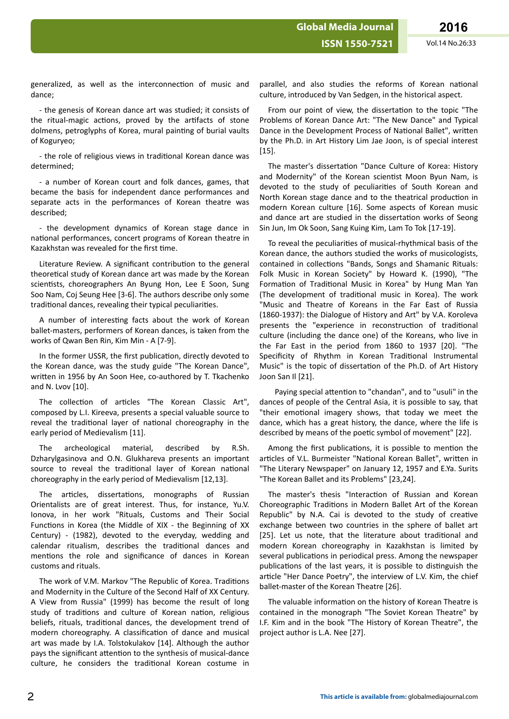**ISSN 1550-7521** Vol.14 No.26:33

generalized, as well as the interconnection of music and dance;

- the genesis of Korean dance art was studied; it consists of the ritual-magic actions, proved by the artifacts of stone dolmens, petroglyphs of Korea, mural painting of burial vaults of Koguryeo;

- the role of religious views in traditional Korean dance was determined;

- a number of Korean court and folk dances, games, that became the basis for independent dance performances and separate acts in the performances of Korean theatre was described;

- the development dynamics of Korean stage dance in national performances, concert programs of Korean theatre in Kazakhstan was revealed for the first time.

Literature Review. A significant contribution to the general theoretical study of Korean dance art was made by the Korean scientists, choreographers An Byung Hon, Lee E Soon, Sung Soo Nam, Coj Seung Hee [3-6]. The authors describe only some traditional dances, revealing their typical peculiarities.

A number of interesting facts about the work of Korean ballet-masters, performers of Korean dances, is taken from the works of Qwan Ben Rin, Kim Min - A [7-9].

In the former USSR, the first publication, directly devoted to the Korean dance, was the study guide "The Korean Dance", written in 1956 by An Soon Hee, co-authored by T. Tkachenko and N. Lvov [10].

The collection of articles "The Korean Classic Art", composed by L.I. Kireeva, presents a special valuable source to reveal the traditional layer of national choreography in the early period of Medievalism [11].

The archeological material, described by R.Sh. Dzharylgasinova and O.N. Glukhareva presents an important source to reveal the traditional layer of Korean national choreography in the early period of Medievalism [12,13].

The articles, dissertations, monographs of Russian Orientalists are of great interest. Thus, for instance, Yu.V. Ionova, in her work "Rituals, Customs and Their Social Functions in Korea (the Middle of XIX - the Beginning of XX Century) - (1982), devoted to the everyday, wedding and calendar ritualism, describes the traditional dances and mentions the role and significance of dances in Korean customs and rituals.

The work of V.M. Markov "The Republic of Korea. Traditions and Modernity in the Culture of the Second Half of XX Century. A View from Russia" (1999) has become the result of long study of traditions and culture of Korean nation, religious beliefs, rituals, traditional dances, the development trend of modern choreography. A classification of dance and musical art was made by I.A. Tolstokulakov [14]. Although the author pays the significant attention to the synthesis of musical-dance culture, he considers the traditional Korean costume in

parallel, and also studies the reforms of Korean national culture, introduced by Van Sedgen, in the historical aspect.

From our point of view, the dissertation to the topic "The Problems of Korean Dance Art: "The New Dance" and Typical Dance in the Development Process of National Ballet", written by the Ph.D. in Art History Lim Jae Joon, is of special interest [15].

The master's dissertation "Dance Culture of Korea: History and Modernity" of the Korean scientist Moon Byun Nam, is devoted to the study of peculiarities of South Korean and North Korean stage dance and to the theatrical production in modern Korean culture [16]. Some aspects of Korean music and dance art are studied in the dissertation works of Seong Sin Jun, Im Ok Soon, Sang Kuing Kim, Lam To Tok [17-19].

To reveal the peculiarities of musical-rhythmical basis of the Korean dance, the authors studied the works of musicologists, contained in collections "Bands, Songs and Shamanic Rituals: Folk Music in Korean Society" by Howard K. (1990), "The Formation of Traditional Music in Korea" by Hung Man Yan (The development of traditional music in Korea). The work "Music and Theatre of Koreans in the Far East of Russia (1860-1937): the Dialogue of History and Art" by V.A. Koroleva presents the "experience in reconstruction of traditional culture (including the dance one) of the Koreans, who live in the Far East in the period from 1860 to 1937 [20]. "The Specificity of Rhythm in Korean Traditional Instrumental Music" is the topic of dissertation of the Ph.D. of Art History Joon San Il [21].

Paying special attention to "chandan", and to "usuli" in the dances of people of the Central Asia, it is possible to say, that "their emotional imagery shows, that today we meet the dance, which has a great history, the dance, where the life is described by means of the poetic symbol of movement" [22].

Among the first publications, it is possible to mention the articles of V.L. Burmeister "National Korean Ballet", written in "The Literary Newspaper" on January 12, 1957 and E.Ya. Surits "The Korean Ballet and its Problems" [23,24].

The master's thesis "Interaction of Russian and Korean Choreographic Traditions in Modern Ballet Art of the Korean Republic" by N.A. Cai is devoted to the study of creative exchange between two countries in the sphere of ballet art [25]. Let us note, that the literature about traditional and modern Korean choreography in Kazakhstan is limited by several publications in periodical press. Among the newspaper publications of the last years, it is possible to distinguish the article "Her Dance Poetry", the interview of L.V. Kim, the chief ballet-master of the Korean Theatre [26].

The valuable information on the history of Korean Theatre is contained in the monograph "The Soviet Korean Theatre" by I.F. Kim and in the book "The History of Korean Theatre", the project author is L.A. Nee [27].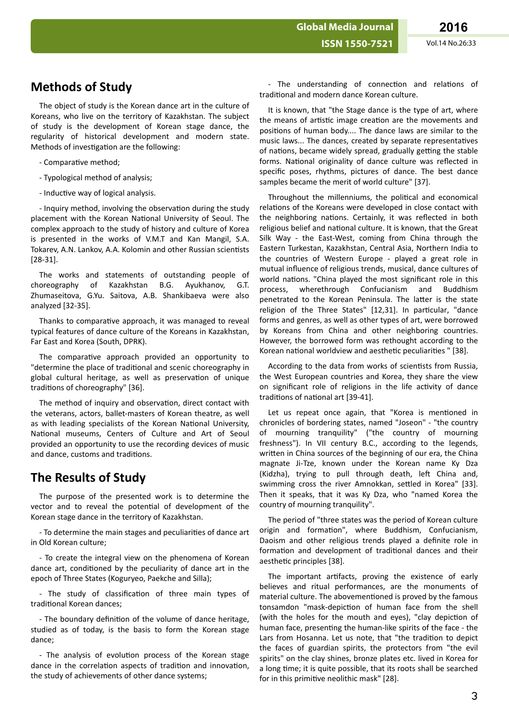**Global Media Journal**

## **Methods of Study**

The object of study is the Korean dance art in the culture of Koreans, who live on the territory of Kazakhstan. The subject of study is the development of Korean stage dance, the regularity of historical development and modern state. Methods of investigation are the following:

- Comparative method;

- Typological method of analysis;
- Inductive way of logical analysis.

- Inquiry method, involving the observation during the study placement with the Korean National University of Seoul. The complex approach to the study of history and culture of Korea is presented in the works of V.M.T and Kan Mangil, S.A. Tokarev, A.N. Lankov, A.A. Kolomin and other Russian scientists [28-31].

The works and statements of outstanding people of choreography of Kazakhstan B.G. Ayukhanov, G.T. Zhumaseitova, G.Yu. Saitova, A.B. Shankibaeva were also analyzed [32-35].

Thanks to comparative approach, it was managed to reveal typical features of dance culture of the Koreans in Kazakhstan, Far East and Korea (South, DPRK).

The comparative approach provided an opportunity to "determine the place of traditional and scenic choreography in global cultural heritage, as well as preservation of unique traditions of choreography" [36].

The method of inquiry and observation, direct contact with the veterans, actors, ballet-masters of Korean theatre, as well as with leading specialists of the Korean National University, National museums, Centers of Culture and Art of Seoul provided an opportunity to use the recording devices of music and dance, customs and traditions.

#### **The Results of Study**

The purpose of the presented work is to determine the vector and to reveal the potential of development of the Korean stage dance in the territory of Kazakhstan.

- To determine the main stages and peculiarities of dance art in Old Korean culture;

- To create the integral view on the phenomena of Korean dance art, conditioned by the peculiarity of dance art in the epoch of Three States (Koguryeo, Paekche and Silla);

- The study of classification of three main types of traditional Korean dances:

- The boundary definition of the volume of dance heritage, studied as of today, is the basis to form the Korean stage dance;

- The analysis of evolution process of the Korean stage dance in the correlation aspects of tradition and innovation, the study of achievements of other dance systems;

- The understanding of connection and relations of traditional and modern dance Korean culture.

It is known, that "the Stage dance is the type of art, where the means of artistic image creation are the movements and positions of human body.... The dance laws are similar to the music laws... The dances, created by separate representatives of nations, became widely spread, gradually getting the stable forms. National originality of dance culture was reflected in specific poses, rhythms, pictures of dance. The best dance samples became the merit of world culture" [37].

Throughout the millenniums, the political and economical relations of the Koreans were developed in close contact with the neighboring nations. Certainly, it was reflected in both religious belief and national culture. It is known, that the Great Silk Way - the East-West, coming from China through the Eastern Turkestan, Kazakhstan, Central Asia, Northern India to the countries of Western Europe - played a great role in mutual influence of religious trends, musical, dance cultures of world nations. "China played the most significant role in this process, wherethrough Confucianism and Buddhism penetrated to the Korean Peninsula. The latter is the state religion of the Three States" [12,31]. In particular, "dance forms and genres, as well as other types of art, were borrowed by Koreans from China and other neighboring countries. However, the borrowed form was rethought according to the Korean national worldview and aesthetic peculiarities " [38].

According to the data from works of scientists from Russia, the West European countries and Korea, they share the view on significant role of religions in the life activity of dance traditions of national art [39-41].

Let us repeat once again, that "Korea is mentioned in chronicles of bordering states, named "Joseon" - "the country of mourning tranquility" ("the country of mourning freshness"). In VII century B.C., according to the legends, written in China sources of the beginning of our era, the China magnate Ji-Tze, known under the Korean name Ky Dza (Kidzha), trying to pull through death, left China and, swimming cross the river Amnokkan, settled in Korea" [33]. Then it speaks, that it was Ky Dza, who "named Korea the country of mourning tranquility".

The period of "three states was the period of Korean culture origin and formation", where Buddhism, Confucianism, Daoism and other religious trends played a definite role in formation and development of traditional dances and their aesthetic principles [38].

The important artifacts, proving the existence of early believes and ritual performances, are the monuments of material culture. The abovementioned is proved by the famous tonsamdon "mask-depiction of human face from the shell (with the holes for the mouth and eyes), "clay depiction of human face, presenting the human-like spirits of the face - the Lars from Hosanna. Let us note, that "the tradition to depict the faces of guardian spirits, the protectors from "the evil spirits" on the clay shines, bronze plates etc. lived in Korea for a long time; it is quite possible, that its roots shall be searched for in this primitive neolithic mask" [28].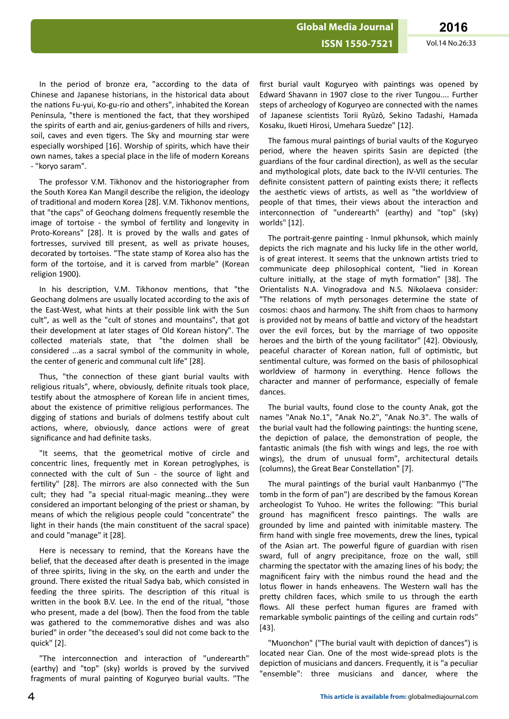In the period of bronze era, "according to the data of Chinese and Japanese historians, in the historical data about the nations Fu-yui, Ko-gu-rio and others", inhabited the Korean Peninsula, "there is mentioned the fact, that they worshiped the spirits of earth and air, genius-gardeners of hills and rivers, soil, caves and even tigers. The Sky and mourning star were especially worshiped [16]. Worship of spirits, which have their own names, takes a special place in the life of modern Koreans - "koryo saram".

The professor V.M. Tikhonov and the historiographer from the South Korea Kan Mangil describe the religion, the ideology of traditional and modern Korea [28]. V.M. Tikhonov mentions. that "the caps" of Geochang dolmens frequently resemble the image of tortoise - the symbol of fertility and longevity in Proto-Koreans" [28]. It is proved by the walls and gates of fortresses, survived till present, as well as private houses, decorated by tortoises. "The state stamp of Korea also has the form of the tortoise, and it is carved from marble" (Korean religion 1900).

In his description, V.M. Tikhonov mentions, that "the Geochang dolmens are usually located according to the axis of the East-West, what hints at their possible link with the Sun cult", as well as the "cult of stones and mountains", that got their development at later stages of Old Korean history". The collected materials state, that "the dolmen shall be considered ...as a sacral symbol of the community in whole, the center of generic and communal cult life" [28].

Thus, "the connection of these giant burial vaults with religious rituals", where, obviously, definite rituals took place, testify about the atmosphere of Korean life in ancient times, about the existence of primitive religious performances. The digging of stations and burials of dolmens testify about cult actions, where, obviously, dance actions were of great significance and had definite tasks.

"It seems, that the geometrical motive of circle and concentric lines, frequently met in Korean petroglyphes, is connected with the cult of Sun - the source of light and fertility" [28]. The mirrors are also connected with the Sun cult; they had "a special ritual-magic meaning...they were considered an important belonging of the priest or shaman, by means of which the religious people could "concentrate" the light in their hands (the main constituent of the sacral space) and could "manage" it [28].

Here is necessary to remind, that the Koreans have the belief, that the deceased after death is presented in the image of three spirits, living in the sky, on the earth and under the ground. There existed the ritual Sadya bab, which consisted in feeding the three spirits. The description of this ritual is written in the book B.V. Lee. In the end of the ritual, "those who present, made a del (bow). Then the food from the table was gathered to the commemorative dishes and was also buried" in order "the deceased's soul did not come back to the quick" [2].

"The interconnection and interaction of "underearth" (earthy) and "top" (sky) worlds is proved by the survived fragments of mural painting of Koguryeo burial vaults. "The first burial vault Koguryeo with paintings was opened by Edward Shavann in 1907 close to the river Tungou.... Further steps of archeology of Koguryeo are connected with the names of Japanese scientists Torii Ryûzô, Sekino Tadashi, Hamada Kosaku, Ikueti Hirosi, Umehara Suedze" [12].

The famous mural paintings of burial vaults of the Koguryeo period, where the heaven spirits Sasin are depicted (the guardians of the four cardinal direction), as well as the secular and mythological plots, date back to the IV-VII centuries. The definite consistent pattern of painting exists there; it reflects the aesthetic views of artists, as well as "the worldview of people of that times, their views about the interaction and interconnection of "underearth" (earthy) and "top" (sky) worlds" [12].

The portrait-genre painting - Inmul pkhunsok, which mainly depicts the rich magnate and his lucky life in the other world, is of great interest. It seems that the unknown artists tried to communicate deep philosophical content, "lied in Korean culture initially, at the stage of myth formation" [38]. The Orientalists N.A. Vinogradova and N.S. Nikolaeva consider: "The relations of myth personages determine the state of cosmos: chaos and harmony. The shift from chaos to harmony is provided not by means of battle and victory of the headstart over the evil forces, but by the marriage of two opposite heroes and the birth of the young facilitator" [42]. Obviously, peaceful character of Korean nation, full of optimistic, but sentimental culture, was formed on the basis of philosophical worldview of harmony in everything. Hence follows the character and manner of performance, especially of female dances.

The burial vaults, found close to the county Anak, got the names "Anak No.1", "Anak No.2", "Anak No.3". The walls of the burial vault had the following paintings: the hunting scene, the depiction of palace, the demonstration of people, the fantastic animals (the fish with wings and legs, the roe with wings), the drum of unusual form", architectural details (columns), the Great Bear Constellation" [7].

The mural paintings of the burial vault Hanbanmyo ("The tomb in the form of pan") are described by the famous Korean archeologist To Yuhoo. He writes the following: "This burial ground has magnificent fresco paintings. The walls are grounded by lime and painted with inimitable mastery. The firm hand with single free movements, drew the lines, typical of the Asian art. The powerful figure of guardian with risen sward, full of angry precipitance, froze on the wall, still charming the spectator with the amazing lines of his body; the magnificent fairy with the nimbus round the head and the lotus flower in hands enheavens. The Western wall has the pretty children faces, which smile to us through the earth flows. All these perfect human figures are framed with remarkable symbolic paintings of the ceiling and curtain rods" [43].

"Muonchon" ("The burial vault with depiction of dances") is located near Cian. One of the most wide-spread plots is the depiction of musicians and dancers. Frequently, it is "a peculiar "ensemble": three musicians and dancer, where the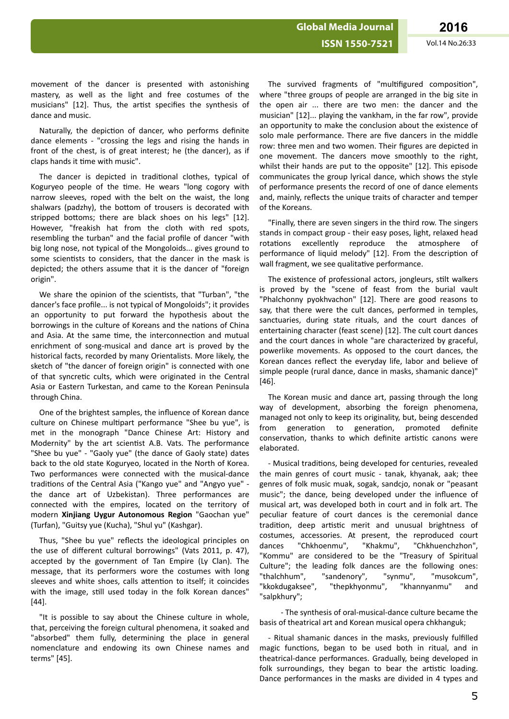**ISSN 1550-7521** Vol.14 No.26:33

movement of the dancer is presented with astonishing mastery, as well as the light and free costumes of the musicians" [12]. Thus, the artist specifies the synthesis of dance and music.

Naturally, the depiction of dancer, who performs definite dance elements - "crossing the legs and rising the hands in front of the chest, is of great interest; he (the dancer), as if claps hands it time with music".

The dancer is depicted in traditional clothes, typical of Koguryeo people of the time. He wears "long cogory with narrow sleeves, roped with the belt on the waist, the long shalwars (padzhy), the bottom of trousers is decorated with stripped bottoms; there are black shoes on his legs" [12]. However, "freakish hat from the cloth with red spots, resembling the turban" and the facial profile of dancer "with big long nose, not typical of the Mongoloids... gives ground to some scientists to considers, that the dancer in the mask is depicted; the others assume that it is the dancer of "foreign origin".

We share the opinion of the scientists, that "Turban", "the dancer's face profile... is not typical of Mongoloids"; it provides an opportunity to put forward the hypothesis about the borrowings in the culture of Koreans and the nations of China and Asia. At the same time, the interconnection and mutual enrichment of song-musical and dance art is proved by the historical facts, recorded by many Orientalists. More likely, the sketch of "the dancer of foreign origin" is connected with one of that syncretic cults, which were originated in the Central Asia or Eastern Turkestan, and came to the Korean Peninsula through China.

One of the brightest samples, the influence of Korean dance culture on Chinese multipart performance "Shee bu yue", is met in the monograph "Dance Chinese Art: History and Modernity" by the art scientist A.B. Vats. The performance "Shee bu yue" - "Gaoly yue" (the dance of Gaoly state) dates back to the old state Koguryeo, located in the North of Korea. Two performances were connected with the musical-dance traditions of the Central Asia ("Kango yue" and "Angyo yue" the dance art of Uzbekistan). Three performances are connected with the empires, located on the territory of modern **Xinjiang Uygur Autonomous Region** "Gaochan yue" (Turfan), "Guitsy yue (Kucha), "Shul yu" (Kashgar).

Thus, "Shee bu yue" reflects the ideological principles on the use of different cultural borrowings" (Vats 2011, p. 47), accepted by the government of Tan Empire (Ly Clan). The message, that its performers wore the costumes with long sleeves and white shoes, calls attention to itself; it coincides with the image, still used today in the folk Korean dances" [44].

"It is possible to say about the Chinese culture in whole, that, perceiving the foreign cultural phenomena, it soaked and "absorbed" them fully, determining the place in general nomenclature and endowing its own Chinese names and terms" [45].

The survived fragments of "multifigured composition", where "three groups of people are arranged in the big site in the open air ... there are two men: the dancer and the musician" [12]... playing the vankham, in the far row", provide an opportunity to make the conclusion about the existence of solo male performance. There are five dancers in the middle row: three men and two women. Their figures are depicted in one movement. The dancers move smoothly to the right, whilst their hands are put to the opposite" [12]. This episode communicates the group lyrical dance, which shows the style of performance presents the record of one of dance elements and, mainly, reflects the unique traits of character and temper of the Koreans.

"Finally, there are seven singers in the third row. The singers stands in compact group - their easy poses, light, relaxed head rotations excellently reproduce the atmosphere of performance of liquid melody" [12]. From the description of wall fragment, we see qualitative performance.

The existence of professional actors, jongleurs, stilt walkers is proved by the "scene of feast from the burial vault "Phalchonny pyokhvachon" [12]. There are good reasons to say, that there were the cult dances, performed in temples, sanctuaries, during state rituals, and the court dances of entertaining character (feast scene) [12]. The cult court dances and the court dances in whole "are characterized by graceful, powerlike movements. As opposed to the court dances, the Korean dances reflect the everyday life, labor and believe of simple people (rural dance, dance in masks, shamanic dance)" [46].

The Korean music and dance art, passing through the long way of development, absorbing the foreign phenomena, managed not only to keep its originality, but, being descended from generation to generation, promoted definite conservation, thanks to which definite artistic canons were elaborated.

- Musical traditions, being developed for centuries, revealed the main genres of court music - tanak, khyanak, aak; thee genres of folk music muak, sogak, sandcjo, nonak or "peasant music"; the dance, being developed under the influence of musical art, was developed both in court and in folk art. The peculiar feature of court dances is the ceremonial dance tradition, deep artistic merit and unusual brightness of costumes, accessories. At present, the reproduced court dances "Chkhoenmu", "Khakmu", "Chkhuenchzhon", "Kommu" are considered to be the "Treasury of Spiritual Culture"; the leading folk dances are the following ones: "thalchhum", "sandenory", "synmu", "musokcum", "kkokdugaksee", "thepkhyonmu", "khannyanmu" and "salpkhury";

- The synthesis of oral-musical-dance culture became the basis of theatrical art and Korean musical opera chkhanguk;

- Ritual shamanic dances in the masks, previously fulfilled magic functions, began to be used both in ritual, and in theatrical-dance performances. Gradually, being developed in folk surroundings, they began to bear the artistic loading. Dance performances in the masks are divided in 4 types and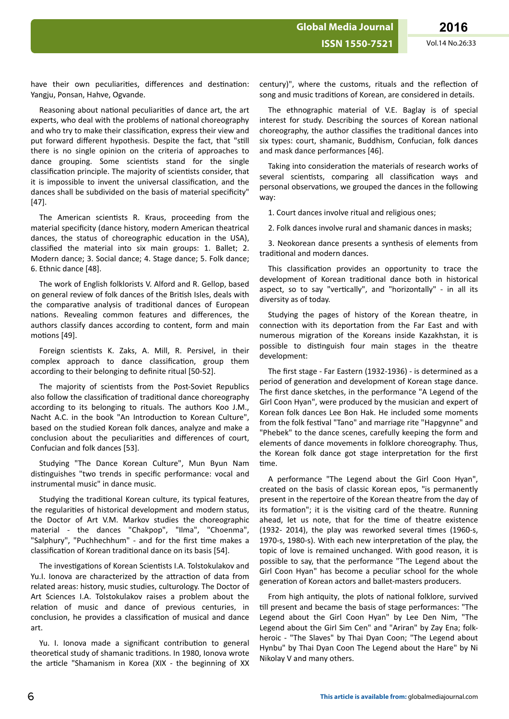**Global Media Journal**

have their own peculiarities, differences and destination: Yangju, Ponsan, Hahve, Ogvande.

Reasoning about national peculiarities of dance art, the art experts, who deal with the problems of national choreography and who try to make their classification, express their view and put forward different hypothesis. Despite the fact, that "still there is no single opinion on the criteria of approaches to dance grouping. Some scientists stand for the single classification principle. The majority of scientists consider, that it is impossible to invent the universal classification, and the dances shall be subdivided on the basis of material specificity" [47].

The American scientists R. Kraus, proceeding from the material specificity (dance history, modern American theatrical dances, the status of choreographic education in the USA), classified the material into six main groups: 1. Ballet: 2. Modern dance; 3. Social dance; 4. Stage dance; 5. Folk dance; 6. Ethnic dance [48].

The work of English folklorists V. Alford and R. Gellop, based on general review of folk dances of the British Isles, deals with the comparative analysis of traditional dances of European nations. Revealing common features and differences, the authors classify dances according to content, form and main motions [49].

Foreign scientists K. Zaks, A. Mill, R. Persivel, in their complex approach to dance classification, group them according to their belonging to definite ritual [50-52].

The majority of scientists from the Post-Soviet Republics also follow the classification of traditional dance choreography according to its belonging to rituals. The authors Koo J.M., Nacht A.C. in the book "An Introduction to Korean Culture", based on the studied Korean folk dances, analyze and make a conclusion about the peculiarities and differences of court, Confucian and folk dances [53].

Studying "The Dance Korean Culture", Mun Byun Nam distinguishes "two trends in specific performance: vocal and instrumental music" in dance music.

Studying the traditional Korean culture, its typical features, the regularities of historical development and modern status, the Doctor of Art V.M. Markov studies the choreographic material - the dances "Chakpop", "Ilma", "Choenma", "Salphury", "Puchhechhum" - and for the first time makes a classification of Korean traditional dance on its basis [54].

The investigations of Korean Scientists I.A. Tolstokulakov and Yu.I. Ionova are characterized by the attraction of data from related areas: history, music studies, culturology. The Doctor of Art Sciences I.A. Tolstokulakov raises a problem about the relation of music and dance of previous centuries, in conclusion, he provides a classification of musical and dance art.

Yu. I. Ionova made a significant contribution to general theoretical study of shamanic traditions. In 1980, Ionova wrote the article "Shamanism in Korea (XIX - the beginning of XX century)", where the customs, rituals and the reflection of song and music traditions of Korean, are considered in details.

The ethnographic material of V.E. Baglay is of special interest for study. Describing the sources of Korean national choreography, the author classifies the traditional dances into six types: court, shamanic, Buddhism, Confucian, folk dances and mask dance performances [46].

Taking into consideration the materials of research works of several scientists, comparing all classification ways and personal observations, we grouped the dances in the following way:

1. Court dances involve ritual and religious ones;

2. Folk dances involve rural and shamanic dances in masks;

3. Neokorean dance presents a synthesis of elements from traditional and modern dances.

This classification provides an opportunity to trace the development of Korean traditional dance both in historical aspect, so to say "vertically", and "horizontally" - in all its diversity as of today.

Studying the pages of history of the Korean theatre, in connection with its deportation from the Far East and with numerous migration of the Koreans inside Kazakhstan, it is possible to distinguish four main stages in the theatre development:

The first stage - Far Eastern (1932-1936) - is determined as a period of generation and development of Korean stage dance. The first dance sketches, in the performance "A Legend of the Girl Coon Hyan", were produced by the musician and expert of Korean folk dances Lee Bon Hak. He included some moments from the folk festival "Tano" and marriage rite "Hapgynne" and "Phebek" to the dance scenes, carefully keeping the form and elements of dance movements in folklore choreography. Thus, the Korean folk dance got stage interpretation for the first time.

A performance "The Legend about the Girl Coon Hyan", created on the basis of classic Korean epos, "is permanently present in the repertoire of the Korean theatre from the day of its formation"; it is the visiting card of the theatre. Running ahead, let us note, that for the time of theatre existence (1932- 2014), the play was reworked several times (1960-s, 1970-s, 1980-s). With each new interpretation of the play, the topic of love is remained unchanged. With good reason, it is possible to say, that the performance "The Legend about the Girl Coon Hyan" has become a peculiar school for the whole generation of Korean actors and ballet-masters producers.

From high antiquity, the plots of national folklore, survived till present and became the basis of stage performances: "The Legend about the Girl Coon Hyan" by Lee Den Nim, "The Legend about the Girl Sim Cen" and "Ariran" by Zay Ena; folkheroic - "The Slaves" by Thai Dyan Coon; "The Legend about Hynbu" by Thai Dyan Coon The Legend about the Hare" by Ni Nikolay V and many others.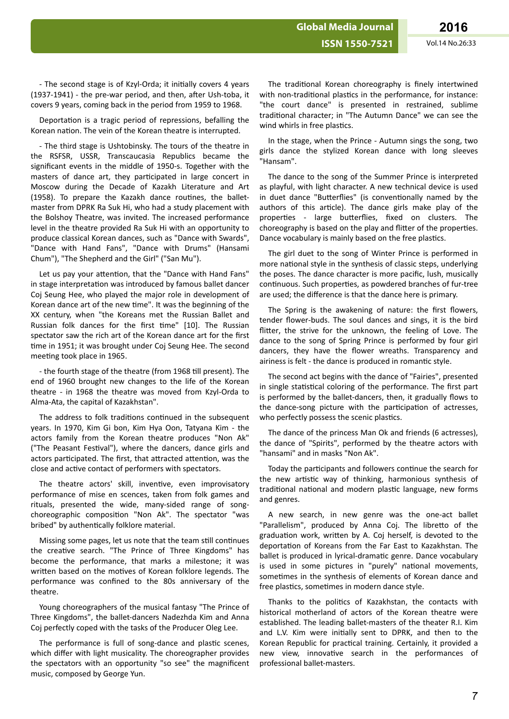**Global Media Journal**

- The second stage is of Kzyl-Orda; it initially covers 4 years  $(1937-1941)$  - the pre-war period, and then, after Ush-toba, it covers 9 years, coming back in the period from 1959 to 1968.

Deportation is a tragic period of repressions, befalling the Korean nation. The vein of the Korean theatre is interrupted.

- The third stage is Ushtobinsky. The tours of the theatre in the RSFSR, USSR, Transcaucasia Republics became the significant events in the middle of 1950-s. Together with the masters of dance art, they participated in large concert in Moscow during the Decade of Kazakh Literature and Art (1958). To prepare the Kazakh dance routines, the balletmaster from DPRK Ra Suk Hi, who had a study placement with the Bolshoy Theatre, was invited. The increased performance level in the theatre provided Ra Suk Hi with an opportunity to produce classical Korean dances, such as "Dance with Swards", "Dance with Hand Fans", "Dance with Drums" (Hansami Chum"), "The Shepherd and the Girl" ("San Mu").

Let us pay your attention, that the "Dance with Hand Fans" in stage interpretation was introduced by famous ballet dancer Coj Seung Hee, who played the major role in development of Korean dance art of the new time". It was the beginning of the XX century, when "the Koreans met the Russian Ballet and Russian folk dances for the first time" [10]. The Russian spectator saw the rich art of the Korean dance art for the first time in 1951; it was brought under Coj Seung Hee. The second meeting took place in 1965.

- the fourth stage of the theatre (from 1968 till present). The end of 1960 brought new changes to the life of the Korean theatre - in 1968 the theatre was moved from Kzyl-Orda to Alma-Ata, the capital of Kazakhstan".

The address to folk traditions continued in the subsequent years. In 1970, Kim Gi bon, Kim Hya Oon, Tatyana Kim - the actors family from the Korean theatre produces "Non Ak" ("The Peasant Festival"), where the dancers, dance girls and actors participated. The first, that attracted attention, was the close and active contact of performers with spectators.

The theatre actors' skill, inventive, even improvisatory performance of mise en scences, taken from folk games and rituals, presented the wide, many-sided range of songchoreographic composition "Non Ak". The spectator "was bribed" by authentically folklore material.

Missing some pages, let us note that the team still continues the creative search. "The Prince of Three Kingdoms" has become the performance, that marks a milestone; it was written based on the motives of Korean folklore legends. The performance was confined to the 80s anniversary of the theatre.

Young choreographers of the musical fantasy "The Prince of Three Kingdoms", the ballet-dancers Nadezhda Kim and Anna Coj perfectly coped with the tasks of the Producer Oleg Lee.

The performance is full of song-dance and plastic scenes, which differ with light musicality. The choreographer provides the spectators with an opportunity "so see" the magnificent music, composed by George Yun.

The traditional Korean choreography is finely intertwined with non-traditional plastics in the performance, for instance: "the court dance" is presented in restrained, sublime traditional character; in "The Autumn Dance" we can see the wind whirls in free plastics.

In the stage, when the Prince - Autumn sings the song, two girls dance the stylized Korean dance with long sleeves "Hansam".

The dance to the song of the Summer Prince is interpreted as playful, with light character. A new technical device is used in duet dance "Butterflies" (is conventionally named by the authors of this article). The dance girls make play of the properties - large butterflies, fixed on clusters. The choreography is based on the play and flitter of the properties. Dance vocabulary is mainly based on the free plastics.

The girl duet to the song of Winter Prince is performed in more national style in the synthesis of classic steps, underlying the poses. The dance character is more pacific, lush, musically continuous. Such properties, as powdered branches of fur-tree are used; the difference is that the dance here is primary.

The Spring is the awakening of nature: the first flowers, tender flower-buds. The soul dances and sings, it is the bird flitter, the strive for the unknown, the feeling of Love. The dance to the song of Spring Prince is performed by four girl dancers, they have the flower wreaths. Transparency and airiness is felt - the dance is produced in romantic style.

The second act begins with the dance of "Fairies", presented in single statistical coloring of the performance. The first part is performed by the ballet-dancers, then, it gradually flows to the dance-song picture with the participation of actresses. who perfectly possess the scenic plastics.

The dance of the princess Man Ok and friends (6 actresses), the dance of "Spirits", performed by the theatre actors with "hansami" and in masks "Non Ak".

Today the participants and followers continue the search for the new artistic way of thinking, harmonious synthesis of traditional national and modern plastic language, new forms and genres.

A new search, in new genre was the one-act ballet "Parallelism", produced by Anna Coj. The libretto of the graduation work, written by A. Coj herself, is devoted to the deportation of Koreans from the Far East to Kazakhstan. The ballet is produced in lyrical-dramatic genre. Dance vocabulary is used in some pictures in "purely" national movements, sometimes in the synthesis of elements of Korean dance and free plastics, sometimes in modern dance style.

Thanks to the politics of Kazakhstan, the contacts with historical motherland of actors of the Korean theatre were established. The leading ballet-masters of the theater R.I. Kim and L.V. Kim were initially sent to DPRK, and then to the Korean Republic for practical training. Certainly, it provided a new view, innovative search in the performances of professional ballet-masters.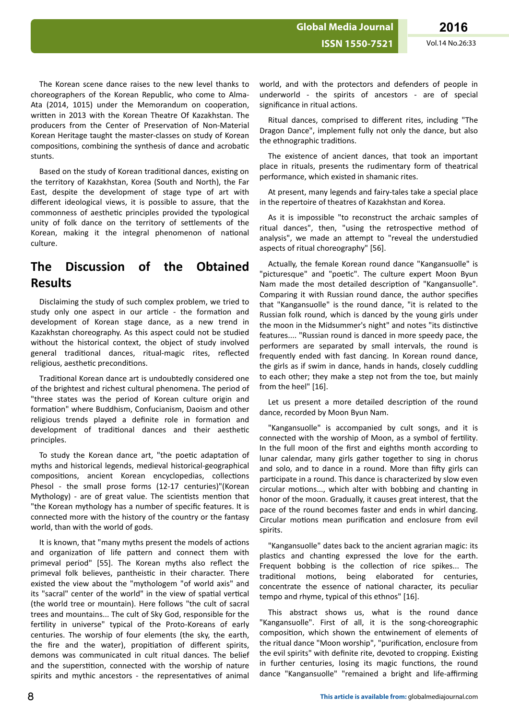The Korean scene dance raises to the new level thanks to choreographers of the Korean Republic, who come to Alma-Ata (2014, 1015) under the Memorandum on cooperation, written in 2013 with the Korean Theatre Of Kazakhstan. The producers from the Center of Preservation of Non-Material Korean Heritage taught the master-classes on study of Korean compositions, combining the synthesis of dance and acrobatic stunts.

Based on the study of Korean traditional dances, existing on the territory of Kazakhstan, Korea (South and North), the Far East, despite the development of stage type of art with different ideological views, it is possible to assure, that the commonness of aesthetic principles provided the typological unity of folk dance on the territory of settlements of the Korean, making it the integral phenomenon of national culture.

## **The Discussion of the Obtained Results**

Disclaiming the study of such complex problem, we tried to study only one aspect in our article - the formation and development of Korean stage dance, as a new trend in Kazakhstan choreography. As this aspect could not be studied without the historical context, the object of study involved general traditional dances, ritual-magic rites, reflected religious, aesthetic preconditions.

Traditional Korean dance art is undoubtedly considered one of the brightest and richest cultural phenomena. The period of "three states was the period of Korean culture origin and formation" where Buddhism, Confucianism, Daoism and other religious trends played a definite role in formation and development of traditional dances and their aesthetic principles.

To study the Korean dance art, "the poetic adaptation of myths and historical legends, medieval historical-geographical compositions, ancient Korean encyclopedias, collections Phesol - the small prose forms (12-17 centuries)"(Korean Mythology) - are of great value. The scientists mention that "the Korean mythology has a number of specific features. It is connected more with the history of the country or the fantasy world, than with the world of gods.

It is known, that "many myths present the models of actions and organization of life pattern and connect them with primeval period" [55]. The Korean myths also reflect the primeval folk believes, pantheistic in their character. There existed the view about the "mythologem "of world axis" and its "sacral" center of the world" in the view of spatial vertical (the world tree or mountain). Here follows "the cult of sacral trees and mountains... The cult of Sky God, responsible for the fertility in universe" typical of the Proto-Koreans of early centuries. The worship of four elements (the sky, the earth, the fire and the water), propitiation of different spirits, demons was communicated in cult ritual dances. The belief and the superstition, connected with the worship of nature spirits and mythic ancestors - the representatives of animal

world, and with the protectors and defenders of people in underworld - the spirits of ancestors - are of special significance in ritual actions.

Ritual dances, comprised to different rites, including "The Dragon Dance", implement fully not only the dance, but also the ethnographic traditions.

The existence of ancient dances, that took an important place in rituals, presents the rudimentary form of theatrical performance, which existed in shamanic rites.

At present, many legends and fairy-tales take a special place in the repertoire of theatres of Kazakhstan and Korea.

As it is impossible "to reconstruct the archaic samples of ritual dances", then, "using the retrospective method of analysis", we made an attempt to "reveal the understudied aspects of ritual choreography" [56].

Actually, the female Korean round dance "Kangansuolle" is "picturesque" and "poetic". The culture expert Moon Byun Nam made the most detailed description of "Kangansuolle". Comparing it with Russian round dance, the author specifies that "Kangansuolle" is the round dance, "it is related to the Russian folk round, which is danced by the young girls under the moon in the Midsummer's night" and notes "its distinctive features.... "Russian round is danced in more speedy pace, the performers are separated by small intervals, the round is frequently ended with fast dancing. In Korean round dance, the girls as if swim in dance, hands in hands, closely cuddling to each other; they make a step not from the toe, but mainly from the heel" [16].

Let us present a more detailed description of the round dance, recorded by Moon Byun Nam.

"Kangansuolle" is accompanied by cult songs, and it is connected with the worship of Moon, as a symbol of fertility. In the full moon of the first and eighths month according to lunar calendar, many girls gather together to sing in chorus and solo, and to dance in a round. More than fifty girls can participate in a round. This dance is characterized by slow even circular motions..., which alter with bobbing and chanting in honor of the moon. Gradually, it causes great interest, that the pace of the round becomes faster and ends in whirl dancing. Circular motions mean purification and enclosure from evil spirits.

"Kangansuolle" dates back to the ancient agrarian magic: its plastics and chanting expressed the love for the earth. Frequent bobbing is the collection of rice spikes... The traditional motions, being elaborated for centuries, concentrate the essence of national character, its peculiar tempo and rhyme, typical of this ethnos" [16].

This abstract shows us, what is the round dance "Kangansuolle". First of all, it is the song-choreographic composition, which shown the entwinement of elements of the ritual dance "Moon worship", "purification, enclosure from the evil spirits" with definite rite, devoted to cropping. Existing in further centuries, losing its magic functions, the round dance "Kangansuolle" "remained a bright and life-affirming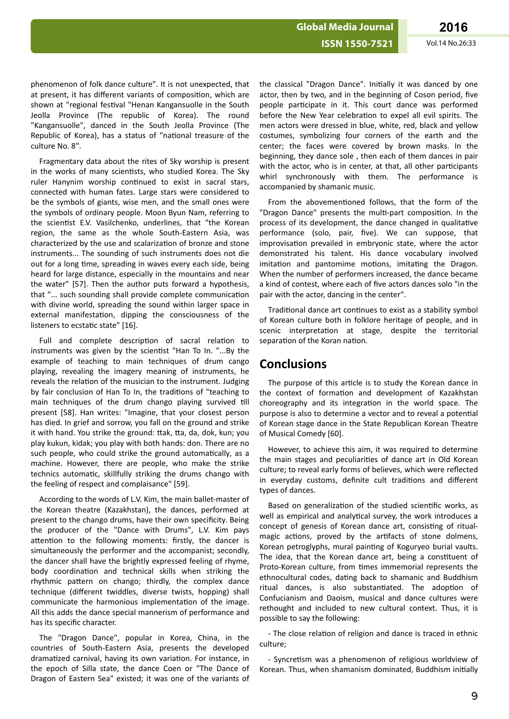phenomenon of folk dance culture". It is not unexpected, that at present, it has different variants of composition, which are shown at "regional festival "Henan Kangansuolle in the South Jeolla Province (The republic of Korea). The round "Kangansuolle", danced in the South Jeolla Province (The Republic of Korea), has a status of "national treasure of the culture No. 8".

Fragmentary data about the rites of Sky worship is present in the works of many scientists, who studied Korea. The Sky ruler Hanynim worship continued to exist in sacral stars, connected with human fates. Large stars were considered to be the symbols of giants, wise men, and the small ones were the symbols of ordinary people. Moon Byun Nam, referring to the scientist E.V. Vasilchenko, underlines, that "the Korean region, the same as the whole South-Eastern Asia, was characterized by the use and scalarization of bronze and stone instruments... The sounding of such instruments does not die out for a long time, spreading in waves every each side, being heard for large distance, especially in the mountains and near the water" [57]. Then the author puts forward a hypothesis, that "... such sounding shall provide complete communication with divine world, spreading the sound within larger space in external manifestation, dipping the consciousness of the listeners to ecstatic state" [16].

Full and complete description of sacral relation to instruments was given by the scientist "Han To In. "...By the example of teaching to main techniques of drum cango playing, revealing the imagery meaning of instruments, he reveals the relation of the musician to the instrument. Judging by fair conclusion of Han To In, the traditions of "teaching to main techniques of the drum chango playing survived till present [58]. Han writes: "Imagine, that your closest person has died. In grief and sorrow, you fall on the ground and strike it with hand. You strike the ground: ttak, tta, da, dok, kun; you play kukun, kidak; you play with both hands: don. There are no such people, who could strike the ground automatically, as a machine. However, there are people, who make the strike technics automatic, skillfully striking the drums chango with the feeling of respect and complaisance" [59].

According to the words of L.V. Kim, the main ballet-master of the Korean theatre (Kazakhstan), the dances, performed at present to the chango drums, have their own specificity. Being the producer of the "Dance with Drums", L.V. Kim pays attention to the following moments: firstly, the dancer is simultaneously the performer and the accompanist; secondly, the dancer shall have the brightly expressed feeling of rhyme, body coordination and technical skills when striking the rhythmic pattern on chango; thirdly, the complex dance technique (different twiddles, diverse twists, hopping) shall communicate the harmonious implementation of the image. All this adds the dance special mannerism of performance and has its specific character.

The "Dragon Dance", popular in Korea, China, in the countries of South-Eastern Asia, presents the developed dramatized carnival, having its own variation. For instance, in the epoch of Silla state, the dance Coen or "The Dance of Dragon of Eastern Sea" existed; it was one of the variants of the classical "Dragon Dance". Initially it was danced by one actor, then by two, and in the beginning of Coson period, five people participate in it. This court dance was performed before the New Year celebration to expel all evil spirits. The men actors were dressed in blue, white, red, black and yellow costumes, symbolizing four corners of the earth and the center; the faces were covered by brown masks. In the beginning, they dance sole , then each of them dances in pair with the actor, who is in center, at that, all other participants whirl synchronously with them. The performance is accompanied by shamanic music.

From the abovementioned follows, that the form of the "Dragon Dance" presents the multi-part composition. In the process of its development, the dance changed in qualitative performance (solo, pair, five). We can suppose, that improvisation prevailed in embryonic state, where the actor demonstrated his talent. His dance vocabulary involved imitation and pantomime motions, imitating the Dragon. When the number of performers increased, the dance became a kind of contest, where each of five actors dances solo "in the pair with the actor, dancing in the center".

Traditional dance art continues to exist as a stability symbol of Korean culture both in folklore heritage of people, and in scenic interpretation at stage, despite the territorial separation of the Koran nation.

## **Conclusions**

The purpose of this article is to study the Korean dance in the context of formation and development of Kazakhstan choreography and its integration in the world space. The purpose is also to determine a vector and to reveal a potential of Korean stage dance in the State Republican Korean Theatre of Musical Comedy [60].

However, to achieve this aim, it was required to determine the main stages and peculiarities of dance art in Old Korean culture; to reveal early forms of believes, which were reflected in everyday customs, definite cult traditions and different types of dances.

Based on generalization of the studied scientific works, as well as empirical and analytical survey, the work introduces a concept of genesis of Korean dance art, consisting of ritualmagic actions, proved by the artifacts of stone dolmens, Korean petroglyphs, mural painting of Koguryeo burial vaults. The idea, that the Korean dance art, being a constituent of Proto-Korean culture, from times immemorial represents the ethnocultural codes, dating back to shamanic and Buddhism ritual dances, is also substantiated. The adoption of Confucianism and Daoism, musical and dance cultures were rethought and included to new cultural context. Thus, it is possible to say the following:

- The close relation of religion and dance is traced in ethnic culture;

- Syncretism was a phenomenon of religious worldview of Korean. Thus, when shamanism dominated, Buddhism initially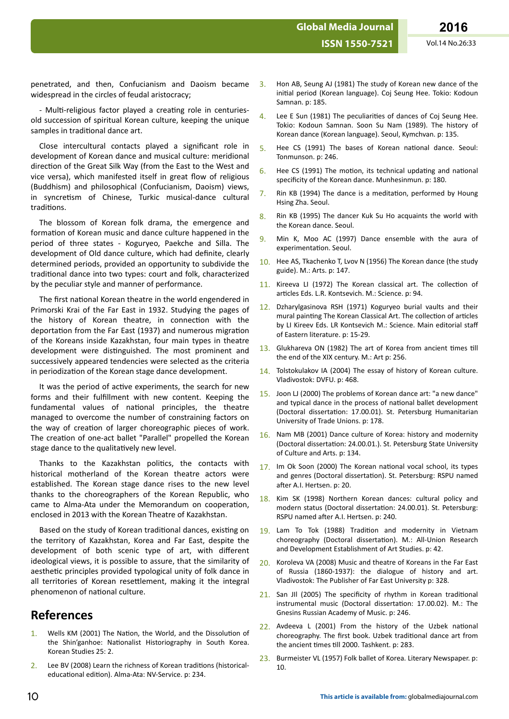penetrated, and then, Confucianism and Daoism became widespread in the circles of feudal aristocracy;

- Multi-religious factor played a creating role in centuriesold succession of spiritual Korean culture, keeping the unique samples in traditional dance art.

Close intercultural contacts played a significant role in development of Korean dance and musical culture: meridional direction of the Great Silk Way (from the East to the West and vice versa), which manifested itself in great flow of religious (Buddhism) and philosophical (Confucianism, Daoism) views, in syncretism of Chinese, Turkic musical-dance cultural traditions.

The blossom of Korean folk drama, the emergence and formation of Korean music and dance culture happened in the period of three states - Koguryeo, Paekche and Silla. The development of Old dance culture, which had definite, clearly determined periods, provided an opportunity to subdivide the traditional dance into two types: court and folk, characterized by the peculiar style and manner of performance.

The first national Korean theatre in the world engendered in Primorski Krai of the Far East in 1932. Studying the pages of the history of Korean theatre, in connection with the deportation from the Far East (1937) and numerous migration of the Koreans inside Kazakhstan, four main types in theatre development were distinguished. The most prominent and successively appeared tendencies were selected as the criteria in periodization of the Korean stage dance development.

It was the period of active experiments, the search for new forms and their fulfillment with new content. Keeping the fundamental values of national principles, the theatre managed to overcome the number of constraining factors on the way of creation of larger choreographic pieces of work. The creation of one-act ballet "Parallel" propelled the Korean stage dance to the qualitatively new level.

Thanks to the Kazakhstan politics, the contacts with historical motherland of the Korean theatre actors were established. The Korean stage dance rises to the new level thanks to the choreographers of the Korean Republic, who came to Alma-Ata under the Memorandum on cooperation, enclosed in 2013 with the Korean Theatre of Kazakhstan.

Based on the study of Korean traditional dances, existing on the territory of Kazakhstan, Korea and Far East, despite the development of both scenic type of art, with different ideological views, it is possible to assure, that the similarity of aesthetic principles provided typological unity of folk dance in all territories of Korean resettlement, making it the integral phenomenon of national culture.

## **References**

- 1. Wells KM (2001) The Nation, the World, and the Dissolution of the Shin'ganhoe: Nationalist Historiography in South Korea. Korean Studies 25: 2.
- 2. Lee BV (2008) Learn the richness of Korean traditions (historicaleducational edition). Alma-Ata: NV-Service. p: 234.
- 3. Hon AB, Seung AJ (1981) The study of Korean new dance of the initial period (Korean language). Coj Seung Hee. Tokio: Kodoun Samnan. p: 185.
- 4. Lee E Sun (1981) The peculiarities of dances of Coj Seung Hee. Tokio: Kodoun Samnan. Soon Su Nam (1989). The history of Korean dance (Korean language). Seoul, Kymchvan. p: 135.
- 5. Hee CS (1991) The bases of Korean national dance. Seoul: Tonmunson. p: 246.
- $6.$  Hee CS (1991) The motion, its technical updating and national specificity of the Korean dance. Munhesinmun. p: 180.
- $7.$  Rin KB (1994) The dance is a meditation, performed by Houng Hsing Zha. Seoul.
- 8. Rin KB (1995) The dancer Kuk Su Ho acquaints the world with the Korean dance. Seoul.
- 9. Min K, Moo AC (1997) Dance ensemble with the aura of experimentation. Seoul.
- 10. Hee AS, Tkachenko T, Lvov N (1956) The Korean dance (the study guide). M.: Arts. p: 147.
- $11.$  Kireeva LI (1972) The Korean classical art. The collection of articles Eds. L.R. Kontsevich. M.: Science. p: 94.
- 12. Dzharylgasinova RSH (1971) Koguryeo burial vaults and their mural painting The Korean Classical Art. The collection of articles by LI Kireev Eds. LR Kontsevich M.: Science. Main editorial staff of Eastern literature. p: 15-29.
- 13. Glukhareva ON (1982) The art of Korea from ancient times till the end of the XIX century. M.: Art p: 256.
- 14. Tolstokulakov IA (2004) The essay of history of Korean culture. Vladivostok: DVFU. p: 468.
- 15. Joon LJ (2000) The problems of Korean dance art: "a new dance" and typical dance in the process of national ballet development (Doctoral dissertation: 17.00.01). St. Petersburg Humanitarian University of Trade Unions. p: 178.
- 16. Nam MB (2001) Dance culture of Korea: history and modernity (Doctoral dissertation: 24.00.01.). St. Petersburg State University of Culture and Arts. p: 134.
- 17. Im Ok Soon (2000) The Korean national vocal school, its types and genres (Doctoral dissertation). St. Petersburg: RSPU named after A.I. Hertsen. p: 20.
- 18. Kim SK (1998) Northern Korean dances: cultural policy and modern status (Doctoral dissertation: 24.00.01). St. Petersburg: RSPU named after A.I. Hertsen. p: 240.
- 19. Lam To Tok (1988) Tradition and modernity in Vietnam choreography (Doctoral dissertation). M.: All-Union Research and Development Establishment of Art Studies. p: 42.
- 20. Koroleva VA (2008) Music and theatre of Koreans in the Far East of Russia (1860-1937): the dialogue of history and art. Vladivostok: The Publisher of Far East University p: 328.
- 21. San JII (2005) The specificity of rhythm in Korean traditional instrumental music (Doctoral dissertation: 17.00.02). M.: The Gnesins Russian Academy of Music. p: 246.
- $22$ . Avdeeva L (2001) From the history of the Uzbek national choreography. The first book. Uzbek traditional dance art from the ancient times till 2000. Tashkent. p: 283.
- 23. Burmeister VL (1957) Folk ballet of Korea. Literary Newspaper. p: 10.